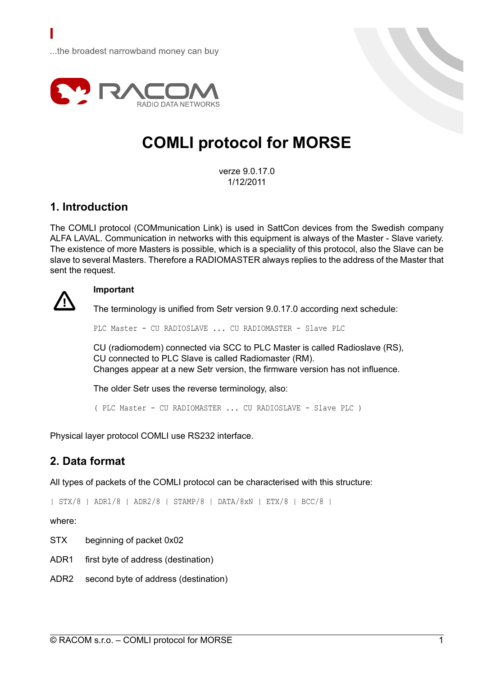

# **COMLI protocol for MORSE**

verze 9.0.17.0 1/12/2011

## **1. Introduction**

The COMLI protocol (COMmunication Link) is used in SattCon devices from the Swedish company ALFA LAVAL. Communication in networks with this equipment is always of the Master - Slave variety. The existence of more Masters is possible, which is a speciality of this protocol, also the Slave can be slave to several Masters. Therefore a RADIOMASTER always replies to the address of the Master that sent the request.



#### **Important**

The terminology is unified from Setr version 9.0.17.0 according next schedule:

PLC Master - CU RADIOSLAVE ... CU RADIOMASTER - Slave PLC

CU (radiomodem) connected via SCC to PLC Master is called Radioslave (RS), CU connected to PLC Slave is called Radiomaster (RM). Changes appear at a new Setr version, the firmware version has not influence.

The older Setr uses the reverse terminology, also:

( PLC Master - CU RADIOMASTER ... CU RADIOSLAVE - Slave PLC )

Physical layer protocol COMLI use RS232 interface.

## **2. Data format**

All types of packets of the COMLI protocol can be characterised with this structure:

| STX/8 | ADR1/8 | ADR2/8 | STAMP/8 | DATA/8xN | ETX/8 | BCC/8 |

where:

STX beginning of packet 0x02

ADR1 first byte of address (destination)

ADR2 second byte of address (destination)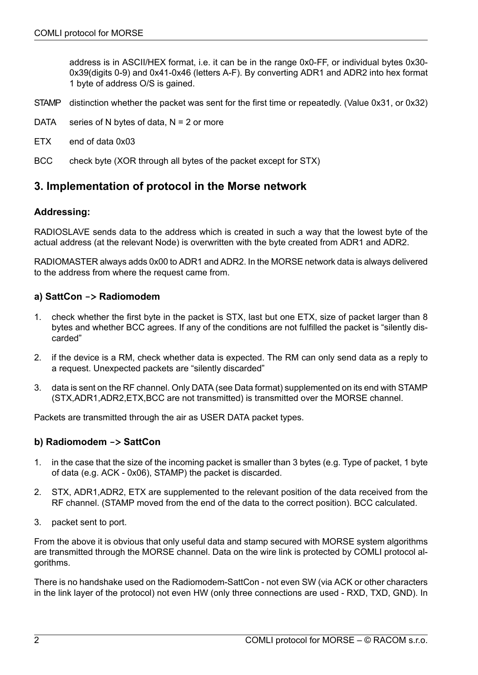address is in ASCII/HEX format, i.e. it can be in the range 0x0-FF, or individual bytes 0x30- 0x39(digits 0-9) and 0x41-0x46 (letters A-F). By converting ADR1 and ADR2 into hex format 1 byte of address O/S is gained.

- STAMP distinction whether the packet was sent for the first time or repeatedly. (Value 0x31, or 0x32)
- DATA series of N bytes of data,  $N = 2$  or more
- ETX end of data 0x03
- BCC check byte (XOR through all bytes of the packet except for STX)

### **3. Implementation of protocol in the Morse network**

#### **Addressing:**

RADIOSLAVE sends data to the address which is created in such a way that the lowest byte of the actual address (at the relevant Node) is overwritten with the byte created from ADR1 and ADR2.

RADIOMASTER always adds 0x00 to ADR1 and ADR2. In the MORSE network data is always delivered to the address from where the request came from.

#### **a) SattCon -> Radiomodem**

- 1. check whether the first byte in the packet is STX, last but one ETX, size of packet larger than 8 bytes and whether BCC agrees. If any of the conditions are not fulfilled the packet is "silently discarded"
- 2. if the device is a RM, check whether data is expected. The RM can only send data as a reply to a request. Unexpected packets are "silently discarded"
- 3. data is sent on the RF channel. Only DATA (see Data format) supplemented on its end with STAMP (STX,ADR1,ADR2,ETX,BCC are not transmitted) is transmitted over the MORSE channel.

Packets are transmitted through the air as USER DATA packet types.

#### **b) Radiomodem -> SattCon**

- 1. in the case that the size of the incoming packet is smaller than 3 bytes (e.g. Type of packet, 1 byte of data (e.g. ACK - 0x06), STAMP) the packet is discarded.
- 2. STX, ADR1,ADR2, ETX are supplemented to the relevant position of the data received from the RF channel. (STAMP moved from the end of the data to the correct position). BCC calculated.
- 3. packet sent to port.

From the above it is obvious that only useful data and stamp secured with MORSE system algorithms are transmitted through the MORSE channel. Data on the wire link is protected by COMLI protocol algorithms.

There is no handshake used on the Radiomodem-SattCon - not even SW (via ACK or other characters in the link layer of the protocol) not even HW (only three connections are used - RXD, TXD, GND). In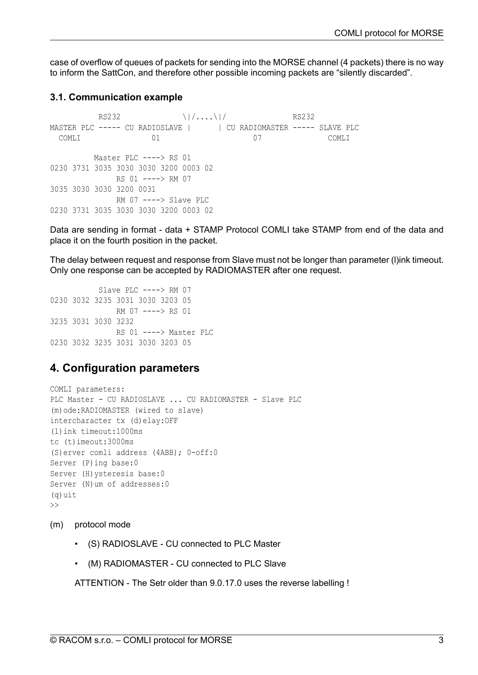case of overflow of queues of packets for sending into the MORSE channel (4 packets) there is no way to inform the SattCon, and therefore other possible incoming packets are "silently discarded".

#### **3.1. Communication example**

 $RS232$  RS232 MASTER PLC ----- CU RADIOSLAVE | | CU RADIOMASTER ----- SLAVE PLC COMLI 01 07 COMLI Master PLC ----> RS 01 0230 3731 3035 3030 3030 3200 0003 02 RS 01 ----> RM 07 3035 3030 3030 3200 0031 RM 07 ----> Slave PLC 0230 3731 3035 3030 3030 3200 0003 02

Data are sending in format - data + STAMP Protocol COMLI take STAMP from end of the data and place it on the fourth position in the packet.

The delay between request and response from Slave must not be longer than parameter (l)ink timeout. Only one response can be accepted by RADIOMASTER after one request.

```
Slave PLC ----> RM 07
0230 3032 3235 3031 3030 3203 05
               RM 07 ----> RS 01
3235 3031 3030 3232
               RS 01 ----> Master PLC
0230 3032 3235 3031 3030 3203 05
```
## **4. Configuration parameters**

```
COMLI parameters:
PLC Master - CU RADIOSLAVE ... CU RADIOMASTER - Slave PLC
(m)ode:RADIOMASTER (wired to slave)
intercharacter tx (d)elay:OFF
(l)ink timeout:1000ms
tc (t)imeout:3000ms
(S)erver comli address (4ABB); 0-off:0
Server (P)ing base:0
Server (H) ysteresis base: 0
Server (N)um of addresses:0
(q)uit
\rightarrow
```
- (m) protocol mode
	- (S) RADIOSLAVE CU connected to PLC Master
	- (M) RADIOMASTER CU connected to PLC Slave

ATTENTION - The Setr older than 9.0.17.0 uses the reverse labelling !